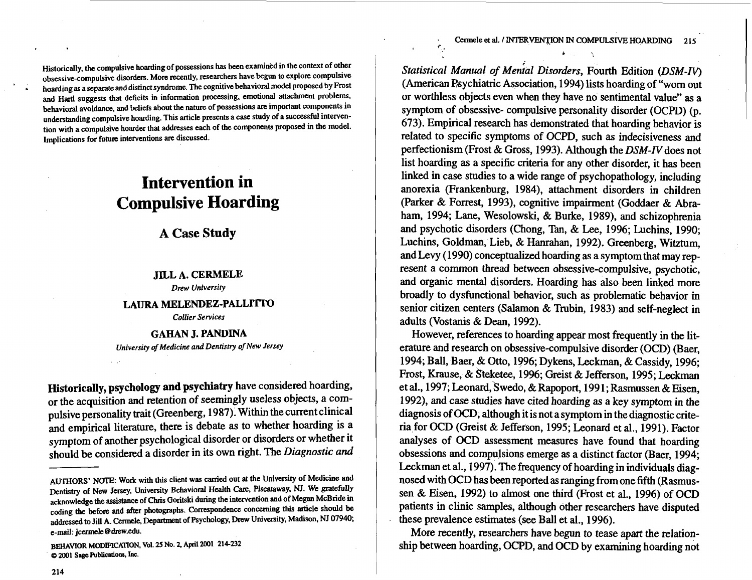Historically, the compulsive hoarding of possessions has been examined in the context of other obsessive-compulsive disorders. More recently, researchers have begun to explore compulsive hoarding as a separate and distinct syndrome. The cognitive behavioral model proposed by Frost and Hartl suggests that deficits in information processing, emotional attachment problems. behavioral avoidance, and beliefs about the nature of possessions are imporlant components in understanding compulsive hoarding. This article presents a case study of a successful intervention with a compulsive hoarder that addresses each of the components proposed in the model. Implications for future interventions are discussed.

# **Intervention in Compulsive Hoarding**

**A Case Study** 

### **JILL A. CERMELE**

*Drew University* 

# **LAURA MELENDEZ-PALLITTO**  *Collier Services*

**GAHAN J. PANDINA**  *University of Medicine and Dentistry of New Jersey* 

**Historically, psychology and psychiatry** have considered hoarding, or the acquisition and retention of seemingly useless objects, a compulsive personality trait (Greenberg, 1987). Within the current clinical and empirical literature, there is debate as to whether hoarding is a symptom of another psychological disorder or disorders or whether it should be considered a disorder in its own right. The Diagnostic and

Statistical Manual of Menial Disorders, Fourth Edition (DSM-IV) (American P6ychiatric Association, 1994) lists hoarding of "worn out or worthless objects even when they have no sentimental value" as a symptom of obsessive- compulsive personality disorder (OCPD) (p. 673). Empirical research has demonstrated that hoarding behavior is related to specific symptoms of OCPD, such as indecisiveness and perfectionism (Frost & Gross, 1993). Although the DSM-IV does not list hoarding as a specific criteria for any other disorder, it has been linked in case studies to a wide range of psychopathology, including anorexia (Frankenburg, 1984), attachment disorders in children (Parker & Forrest, 1993), cognitive impairment (Goddaer & Abraham, 1994; Lane, Wesolowski, & Burke, 1989), and schizophrenia and psychotic disorders (Chong, Tan, & Lee, 1996; Luchins, 1990; Luchins, Goldman, Lieb, & Hanrahan, 1992). Greenberg, Witztum, and Levy (1990) conceptualized hoarding as a symptom that may represent a common thread between obsessive-compulsive, psychotic, and organic mental disorders. Hoarding has also been linked more broadly to dysfunctional behavior, such as problematic behavior in senior citizen centers (Salmon & Trubin, 1983) and self-neglect in adults (Vostanis & Dean, 1992).

However, references to hoarding appear most frequently in the literature and research on obsessive-compulsive disorder (OCD) (Baer, 1994; Ball, Baer, & Otto, 1996; Dykens, Leckman, & Cassidy, 1996; Frost, Krause, & Steketee, 1996; Greist & Jefferson, 1995; Leckman et al., 1997; Leonard, Swedo, & Rapoport, 1991; Rasmussen & Eisen, <sup>I</sup>1992), and case studies have cited hoarding as a key symptom in the diagnosis of OCD, although it is not a symptom in the diagnostic criteria for OCD (Greist & Jefferson, 1995; Leonard et al., 1991). Factor analyses of OCD assessment measures have found that hoarding , obsessions and compulsions emerge as a distinct factor (Baer, 1994; Leckman et al., 1997). The frequency of hoarding in individuals diagnosed with OCD has been reported as ranging from one fifth (Rasmussen & Eisen, 1992) to almost one third (Frost et al., 1996) of OCD patients in clinic samples, although other researchers have disputed these prevalence estimates (see Ball et al., 1996).

More recently, researchers have begun to tease apart the relationship between hoarding, OCPD, and OCD by examining hoarding not

AUTHORS' NOTE: Work with this client was carried out at the University of Medicine and Dentistry of New Jersey, University Behavioral Health **m.** Piscataway, NJ. We gratefully acknowledge the assistance of Chris Goritski during the intervention and of Megan McBride in coding the before and after photographs. Correspondence concerning this article should be addressed to Jill A. Cermele, Department of Psychology, Drew University, Madison, NJ 07940; e-mail: jcennek @drew.edu.

BEHAVIOR MODIFICATION, Vol. 25 NO. 2, April 2001 214-232  $Q$  2001 Sage Publications, Inc.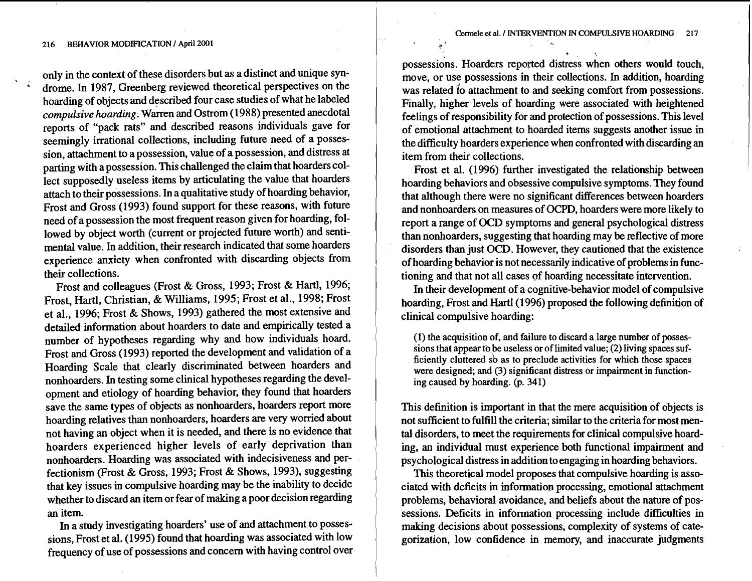only in the context of these disorders but as a distinct and unique syn-<br>drome. In 1987, Greenberg reviewed theoretical perspectives on the hoarding of objects and described four case studies of what he labeled *compulsive hoarding.* Warren and Ostrom (1988) presented anecdotal reports of "pack rats" and described reasons individuals gave for seemingly irrational collections, including future need of a possession, attachment to a possession, value of a possession, and distress at parting with a possession. This challenged the claim that hoarders collect supposedly useless items by articulating the value that hoarders attach to their possessions. In a qualitative study of hoarding behavior, Frost and Gross (1993) found support for these reasons, with future need of a possession the most frequent reason given for hoarding, followed by object worth (current or projected future worth) and sentimental value. In addition, their research indicated that some hoarders experience anxiety when confronted with discarding objects frorn their collections.

Frost and colleagues (Frost & Gross, 1993; Frost & Hartl, 1996; Frost, Hartl, Christian, & Williams, 1995; Frost et al., 1998; Frost et al., 1996; Frost & Shows, 1993) gathered the most extensive and detailed information about hoarders to date and empirically tested a number of hypotheses regarding why and how individuals hoard. Frost and Gross (1993) reported the development and validation of a Hoarding Scale that clearly discriminated between hoarders and nonhoarders. In testing some clinical hypotheses regarding the development and etiology of hoarding behavior, they found that hoarders save the same types of objects as nonhoarders, hoarders report more hoarding relatives than nonhoarders, hoarders are very worried about not having an object when it is needed, and there is no evidence that hoarders experienced higher levels of early deprivation than nonhoarders. Hoarding was associated with indecisiveness and perfectionism (Frost & Gross, 1993; Frost & Shows, 1993), suggesting that key issues in compulsive hoarding may be the inability to decide whether to discard an item or fear of making a poor decision regarding an item.

In a study investigating hoarders' use of and attachment to possessions, Frost et al. (1995) found that hoarding was associated with low frequency of use of possessions and concern with having control over possessions. Hoarders reported distress when others would touch, move, or use possessions in their collections. In addition, hoarding was related io attachment to and seeking comfort from possessions. Finally, higher levels of hoarding were associated with heightened feelings of responsibility for and protection of possessions. This level of emotional attachment to hoarded items suggests another issue in the difficulty hoarders experience when confronted with discarding an item from their collections.

**P' 1** 

Frost et al. (1996) further investigated the relationship between hoarding behaviors and obsessive compulsive symptoms. They found that although there were no significant differences between hoarders and nonhoarders on measures of OCPD, hoarders were more likely to report a range of OCD symptoms and general psychological distress than nonhoarders, suggesting that hoarding may be reflective of more disorders than just OCD. However, they cautioned that the existence of hoarding behavior is not necessarily indicative of problems in functioning and that not all cases of hoarding necessitate intervention.

In their development of a cognitive-behavior model of compulsive hoarding, Frost and Hartl (1996) proposed the following definition of clinical compulsive hoarding:

**(1) the acquisitiop of, and failure to discard a large number of posses**sions that appear to be useless or of limited value; (2) living spaces suf**ficiently cluttered** sb **as to preclude activities for which those spaces were designed; and (3) significant distress or impairment in function**ing caused by hoarding. (p. 341)

This definition is important in that the mere acquisition of objects is not sufficient to fulfill the criteria; similar to the criteria for most mental disorders, to meet the requirements for clinical compulsive hoarding, an individual must experience both functional impairment and psychological distress in addition to engaging in hoarding behaviors.

This theoretical model proposes that compulsive hoarding is associated with deficits in information processing, emotional attachment problems, behavioral avoidance, and beliefs about the nature of possessions. Deficits in information processing include difficulties in making decisions about possessions, complexity of systems of categorization, low confidence in memory, and inaccurate judgments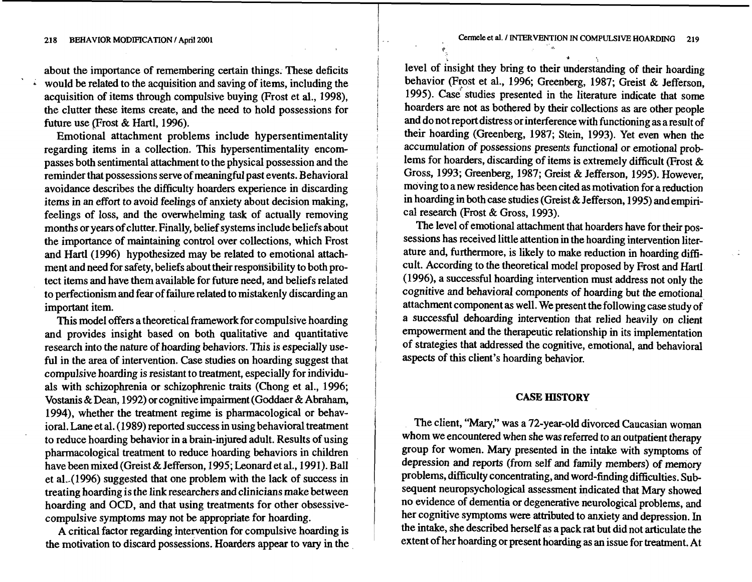**d** 

about the importance of remembering certain things. These deficits would be related to the acquisition and saving of items, including the acquisition of items through compulsive buying (Frost et al., 1998), the clutter these items create, and the need to hold possessions for future use (Frost & Hartl, 1996).

Emotional attachment problems include hypersentimentality regarding items in a collection. This hypersentimentality encompasses both sentimental attachment to the physical possession and the reminder that possessions serve of meaningful past events. Behavioral avoidance describes the difficulty hoarders experience in discarding items in an effort to avoid feelings of anxiety about decision making, feelings of loss, and the overwhelming task of actually removing months or years of clutter. Finally, belief systems include beliefs about the importance of maintaining control over collections, which Frost and Hartl (1996) hypothesized may be related to emotional attachment and need for safety, beliefs about their responsibility to both protect items and have them available for future need, and beliefs related to perfectionism and fear of failure related to mistakenly discarding an important item.

This model offers a theoretical framework for compulsive hoarding and provides insight based on both qualitative and quantitative research into the nature of hoarding behaviors. This is especially useful in the area of intervention. Case studies on hoarding suggest that compulsive hoarding is resistant to treatment, especially for individuals with schizophrenia or schizophrenic traits (Chong et al., 1996; Vostanis &Dean, 1992) or cognitive impairment (Goddaer & Abraham, 1994), whether the treatment regime is pharmacological or behavioral. Lane et al. (1989) reported success in using behavioral treatment to reduce hoarding behavior in a brain-injured adult. Results of using pharmacological treatment to reduce hoarding behaviors in children have been mixed (Greist & Jefferson, 1995; Leonard et al., 1991). Ball et al.  $(1996)$  suggested that one problem with the lack of success in treating hoarding is the link researchers and clinicians make between hoarding and OCD, and that using treatments for other obsessivecompulsive symptoms may not be appropriate for hoarding.

A critical factor regarding intervention for compulsive hoarding is the motivation to discard possessions. Hoarders appear to vary in the

level of insight they bring **to** their understanding of their hoarding behavior (Frost et al., 1996; Greenberg, 1987; Greist & Jefferson, 1995). Case studies presented in the literature indicate that some hoarders are not as bothered by their collections as are other people and do not report distress or interference with functioning as a result of their hoarding (Greenberg, 1987; Stein, 1993). Yet even when the accumulation of possessions presents functional or emotional prob lems for hoarders, discarding of items is extremely difficult (Frost & Gross, 1993; Greenberg, 1987; Greist & Jefferson, 1995). However, moving to a new residence has been cited as motivation for a reduction in hoarding in both case studies (Greist & Jefferson, 1995) and empirical research (Frost & Gross, 1993).

**9** 

The level of emotional attachment that hoarders have for their possessions has received little attention in the hoarding intervention literature and, furthermore, is likely to make reduction in hoarding difficult. According to the theoretical model proposed by Frost and **Hartl**  (1996), a successful hoarding intervention must address not only the cognitive and behavioral components of hoarding but the emotional attachment component as well. We present the following case study of a successful dehoarding intervention that relied heavily on client empowerment and the therapeutic relationship in its implementation of strategies that addressed the cognitive, emotional, and behavioral aspects of this client's hoarding behavior.

# **CASE HISTORY**

The client, "Mary," was a 72-year-old divorced Caucasian woman whom we encountered when she was referred to an outpatient therapy group for women. Mary presented in the intake with symptoms of depression and reports (from self and family members) of memory problems, difficulty concentrating, and word-finding difficulties. Subsequent neuropsychological assessment indicated that Mary showed no evidence of dementia or degenerative neurological problems, and her cognitive symptoms were attributed to anxiety and depression. In the intake, she described herself as a pack rat but did not articulate the extent of her hoardiig or present hoarding as an issue for treatment. At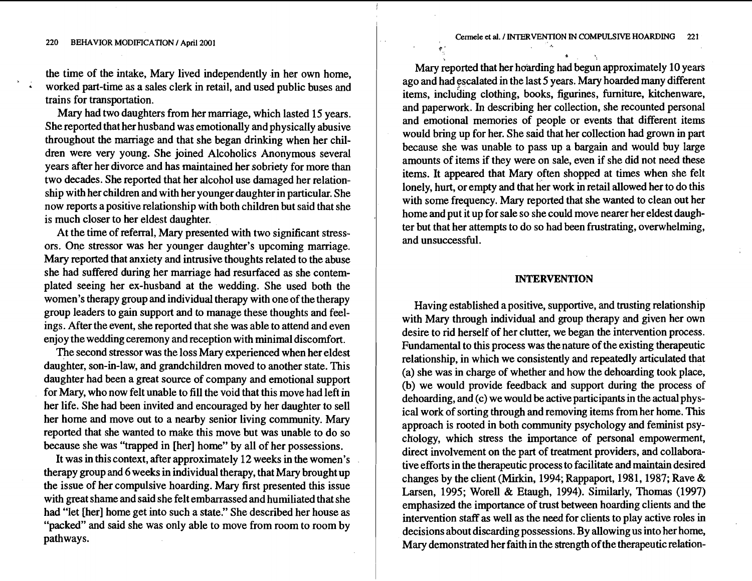$\star$  .  $\cdot$  ,  $\cdot$ 

the time of the intake, Mary lived independently in her own home, worked part-time as a sales clerk in retail, and used public buses and trains for transportation.

Mary had two daughters from her marriage, which lasted 15 years. She reported that her husband was emotionally and physically abusive throughout the marriage and that she began drinking when her children were very young. She joined Alcoholics Anonymous several years after her divorce and has maintained her sobriety for more than two decades. She reported that her alcohol use damaged her relationship with her children and with her younger daughter in particular. She now reports a positive relationship with both children but said that she is much closer to her eldest daughter.

At the time of referral, Mary presented with two significant stressors. One stressor was her younger daughter's upcoming marriage. Mary reported that anxiety and intrusive thoughts related to the abuse she had suffered during her marriage had resurfaced as she contemplated seeing her ex-husband at the wedding. She used both the women's therapy group and individual therapy with one of the therapy group leaders to gain support and to manage these thoughts and feelings. After the event, she reported that she was able to attend and even enjoy the wedding ceremony and reception with minimal discomfort.

The second stressor was the loss Mary experienced when her eldest daughter, son-in-law, and grandchildren moved to another state. This daughter had been a great source of company and emotional support for Mary, who now felt unable to fill the void that this move had left in her life. She had been invited and encouraged by her daughter to sell her home and move out to a nearby senior living community. Mary reported that she wanted to make this move but was unable to do so because she was "trapped in [her] home" by all of her possessions.

It was in this context, after approximately 12 weeks in the women's therapy group and 6 weeks in individual therapy, that Mary brought up the issue of her compulsive hoarding. Mary first presented this issue with great shame and said she felt embarrassed and humiliated that she had "let [her] home get into such a state." She described her house as "packed" and said she was only able to move from room to room by pathways.

Mary reported that her hoarding had begun approximately 10 years ago and had escalated in the last 5 years. Mary hoarded many different items, inclubing clothing, books, figurines, furniture, kitchenware, and paperwork. In describing her collection, she recounted personal and emotional memories of people or events that different items would bring up for her. She said that her collection had grown in part because she was unable to pass up a bargain and would buy large amounts of items if they were on sale, even if she did not need these items. It appeared that Mary often shopped at times when she felt lonely, hurt, or empty and that her work in retail allowed her to do this with some frequency. Mary reported that she wanted to clean out her home and put it up for sale so she could move nearer her eldest daughter but that her attempts to do so had been frustrating, overwhelming, and unsuccessful.

4.' , *I.* 

# **INTERVENTION**

Having established a positive, supportive, and trusting relationship with Mary through individual and group therapy and given her own desire to rid herself of her clutter, we began the intervention process. Fundamental to this process was the nature of the existing therapeutic relationship, in which we consistently and repeatedly articulated that (a) she was in charge of whether and how the dehoarding took place, (b) we would provide feedback and support during the process of dehoarding, and (c) we would be active participants in the actual physical work of sorting through and removing items from her home. This approach is rooted in both community psychology and feminist psychology, which stress the importance of personal empowerment, direct involvement on the part of treatment providers, and collaborative efforts in the therapeutic process to facilitate and maintain desired changes by the client (Mirkin, 1994; Rappaport, 1981, 1987; Rave & Larsen, 1995; Worell & Etaugh, 1994). Similarly, Thomas (1997) emphasized the importance of trust between hoarding clients and the intervention staff as well as the need for clients to play active roles in decisions about discarding possessions. By allowing us into her home, Mary demonstrated her faith in the strength of the therapeutic relation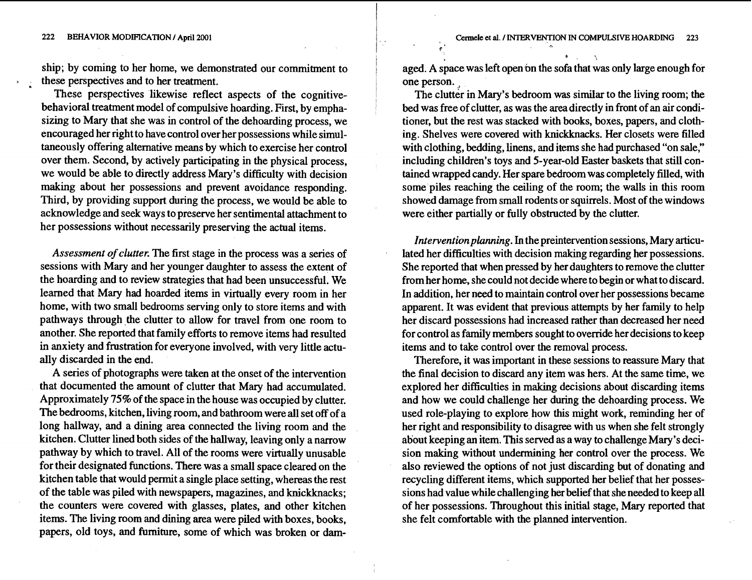**222 BEHAVIOR MODFICATION** / **April 2001** 

ship; by coming to her home, we demonstrated our commitment to <sup>1</sup> these perspectives and to her treatment.

These perspectives likewise reflect aspects of the cognitivebehavioral treatment model of compulsive hoarding. First, by emphasizing to Mary that she was in control of the dehoarding process, we encouraged her right to have control over her possessions while simultaneously offering alternative means by which to exercise her control over them. Second, by actively participating in the physical process, we would be able to directly address Mary's difficulty with decision making about her possessions and prevent avoidance responding. Third, by providing support during the process, we would be able to acknowledge and seek ways to preserve her sentimental attachment to her possessions without necessarily preserving the actual items.

*Assessment of clutter.* The first stage in the process was a series of sessions with Mary and her younger daughter to assess the extent of the hoarding and to review strategies that had been unsuccessful. We learned that Mary had hoarded items in virtually every room in her home, with two small bedrooms serving only to store items and with pathways through the clutter to allow for travel from one room to another. She reported that family efforts to remove items had resulted in anxiety and frustration for everyone involved, with very little actually discarded in the end.

A series of photographs were taken at the onset of the intervention that documented the amount of clutter that Mary had accumulated. Approximately 75% of the space in the house was occupied by clutter. The bedrooms, kitchen, living room, and bathroom were all set off of a long hallway, and a dining area connected the living room and the kitchen. Clutter lined both sides of the hallway, leaving only a narrow pathway by which to travel. All of the rooms were virtually unusable for their designated functions. There was a small space cleared on the kitchen table that would permit a single place setting, whereas the rest of the table was piled with newspapers, magazines, and knickknacks; the counters were covered with glasses, plates, and other kitchen items. The living room and dining area were piled with boxes, books, papers, old toys, and furniture, some of which was broken or damaged. A space was left open on the sofa that was only large enough for one person. .

**r'** \*

i

The clutter in Mary's bedroom was similar to the living room; the bed was free of clutter, as was the area directly in front of an air conditioner, but the rest was stacked with books, boxes, papers, and clothing. Shelves were covered with knickknacks. Her closets were filled with clothing, bedding, linens, and items she had purchased "on sale," including children's toys and 5-year-old Easter baskets that still contained wrapped candy. Her spare bedroom was completely filled, with some piles reaching the ceiling of the room; the walls in this room showed damage from small rodents or squirrels. Most of the windows were either partially or fully obstructed by the clutter.

*Interventionplanning. In* the preintervention sessions, Mary articulated her difficulties with decision making regarding her possessions. She reported that when pressed by her daughters to remove the clutter from her home, she could not decide where to begin or what to discard. In addition, her need to maintain control over her possessions became apparent. It was evident that previous attempts by her family to help her discard possessions had increased rather than decreased her need for control as family members sought to override her decisions to keep items and to take control over the removal process.

Therefore, it was important in these sessions to reassure Mary that the final decision to discard any item was hers. At the same time, we explored her difficulties in making decisions about discarding items and how we could challenge her during the dehoarding process. We used role-playing to explore how this might work, reminding her of her right and responsibility to disagree with us when she felt strongly about keeping an item. This served as a way to challenge Mary's decision making without undermining her control over the process. We also reviewed the options of not just discarding but of donating and recycling different items, which supported her belief that her possessions had value while challenging her belief that she needed to keep all of her possessions. Throughout this initial stage, Mary reported that she felt comfortable with the planned intervention.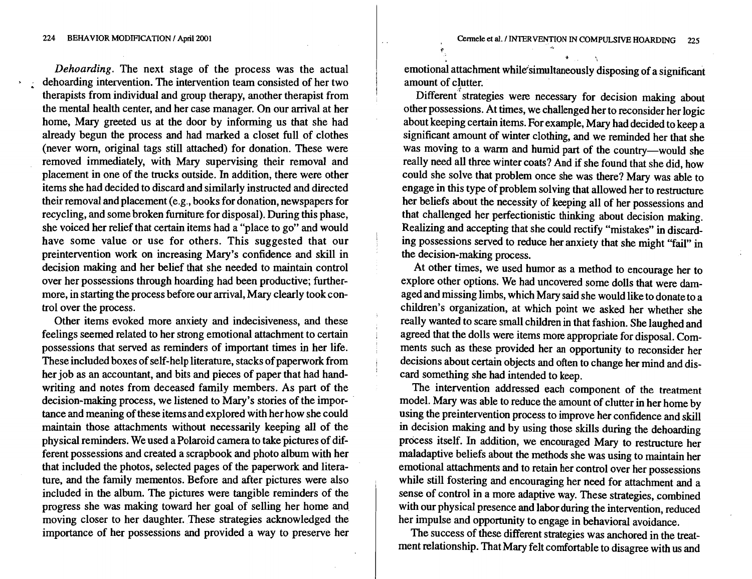Dehoarding. The next stage of the process was the actual dehoarding intervention. The intervention team consisted of her two therapists from individual and group therapy, another therapist from the mental health center, and her case manager. On our arrival at her home, Mary greeted us at the door by informing us that she had already begun the process and had marked a closet full of clothes (never worn, original tags still attached) for donation. These were removed immediately, with Mary supervising their removal and placement in one of the trucks outside. In addition, there were other items she had decided to discard and similarly instructed and directed their removal and placement (e.g., books for donation, newspapers for recycling, and some broken furniture for disposal). During this phase, she voiced her relief that certain items had a "place to go" and would have some value or use for others. This suggested that our preintervention work on increasing Mary's confidence and skill in decision making and her belief that she needed to maintain control over her possessions through hoarding had been productive; furthermore, in starting the process before our arrival, Mary clearly took control over the process.

Other items evoked more anxiety and indecisiveness, and these feelings seemed related to her strong emotional attachment to certain possessions that served as reminders of important times in her life. These included boxes of self-help literature, stacks of paperwork from her job as an accountant, and bits and pieces of paper that had handwriting and notes from deceased family members. As part of the decision-making process, we listened to Mary's stories of the importance and meaning of these items and explored with her how she could maintain those attachments without necessarily keeping all of the physical reminders. We used a Polaroid camera to take pictures of different possessions and created a scrapbook and photo album with her that included the photos, selected pages of the paperwork and literature, and the family mementos. Before and after pictures were also included in the album. The pictures were tangible reminders of the progress she was making toward her goal of selling her home and moving closer to her daughter. These strategies acknowledged the importance of her possessions and provided a way to preserve her emotional attachment while simultaneously disposing of a significant amount of clutter.

Different strategies were necessary for decision making about other possessions. At times, we challenged her to reconsider her logic about keeping certain items. For example, Mary had decided to keep a significant amount of winter clothing, and we reminded her that she was moving to a warm and humid part of the country-would she really need all three winter coats? And if she found that she did, how could she solve that problem once she was there? Mary was able to engage in this type of problem solving that allowed her to restructure her beliefs about the necessity of keeping all of her possessions and that challenged her perfectionistic thinking about decision making. Realizing and accepting that she could rectify "mistakes" in discarding possessions served to reduce her anxiety that she might "fail" in the decision-making process.

At other times, we used humor as a method to encourage her to explore other options. We had uncovered some dolls that were damaged and missing limbs, which Mary said she would like to donate to a children's organization, at which point we asked her whether she really wanted to scare small children in that fashion. She laughed and agreed that the dolls were items more appropriate for disposal. Comments such as these provided her an opportunity to reconsider her decisions about certain objects and often to change her mind and discard something she had intended to keep.

The intervention addressed each component of the treatment model. Mary was able to reduce the amount of clutter in her home by using the preintervention process to improve her confidence and skill in decision making and by using those skills during the dehoarding process itself. In addition, we encouraged Mary to restructure her maladaptive beliefs about the methods she was using to maintain her emotional attachments and to retain her control over her possessions while still fostering and encouraging her need for attachment and a sense of control in a more adaptive way. These strategies, combined with our physical presence and labor during the intervention, reduced her impulse and opportunity to engage in behavioral avoidance.

The success of these different strategies was anchored in the treatment relationship. That Mary felt comfortable to disagree with us and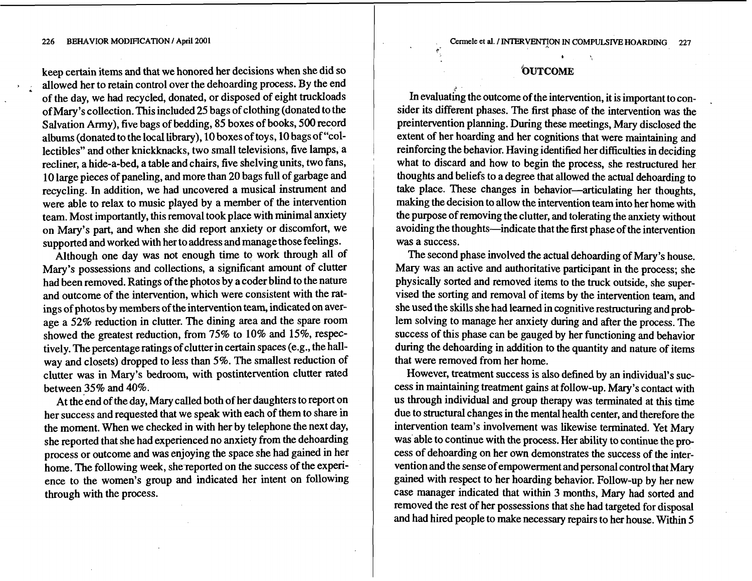#### **226 BEHAVIOR MODFICATION I April 2001**

keep certain items and that we honored her decisions when she did so allowed her to retain control over the dehoarding process. By the end of the day, we had recycled, donated, or disposed of eight truckloads of Mary's collection. This included 25 bags of clothing (donated to the Salvation Army), five bags of bedding, 85 boxes of books, 500 record albums (donated to the local library), 10 boxes of toys, 10 bags of "collectibles" and other knickknacks, two small televisions, five lamps, a recliner, a hide-a-bed, a table and chairs, five shelving units, two fans, 10 large pieces of paneling, and more than 20 bags full of garbage and recycling. In addition, we had uncovered a musical instrument and were able to relax to music played by a member of the intervention team. Most importantly, this removal took place with minimal anxiety on Mary's part, and when she did report anxiety or discomfort, we supported and worked with her to address and manage those feelings.

Although one day was not enough time to work through all of Mary's possessions and collections, a significant amount of clutter had been removed. Ratings of the photos by a coder blind to the nature and outcome of the intervention, which were consistent with the ratings of photos by members of the intervention team, indicated on average a 52% reduction in clutter. The dining area and the spare room showed the greatest reduction, from 75% to 10% and 15%, respectively. The percentage ratings of clutter in certain spaces (e.g., the hallway and closets) dropped to less than 5%. The smallest reduction of clutter was in Mary's bedroom, with postintervention clutter rated between 35% and 40%.

At the end of the day, Mary called both of her daughters to report on her success and requested that we speak with each of them to share in the moment. When we checked in with her by telephone the next day, she reported that she had experienced no anxiety from the dehoarding process or outcome and was enjoying the space she had gained in her home. The following week, she reported on the success of the experience to the women's group and indicated her intent on following through with the process.

# **"OUTCOME**

**C"** \*

In evaluating the outcome of the intervention, it is important to consider its different phases. The first phase of the intervention was the preintervention planning. During these meetings, Mary disclosed the extent of her hoarding and her cognitions that were maintaining and reinforcing the behavior. Having identified her difficulties in deciding what to discard and how to begin the process, she restructured her thoughts and beliefs to a degree that allowed the actual dehoarding to take place. These changes in behavior-articulating her thoughts, making the decision to allow the intervention team into her home with the purpose of removing the clutter, and tolerating the anxiety without avoiding the thoughts-indicate that the first phase of the intervention was a success.

The second phase involved the actual dehoarding of Mary's house. Mary was an active and authoritative participant in the process; she physically sorted and removed items to the truck outside, she supervised the sorting and removal of items by the intervention team, and she used the skills she had learned in cognitive restructuring and problem solving to manage her anxiety during and after the process. The success of this phase can be gauged by her functioning and behavior during the dehoarding in addition to the quantity and nature of items that were removed from her home.

However, treatment success is also defined by an individual's success in maintaining treatment gains at follow-up. Mary's contact with us through individual and group therapy was terminated at this time due to structural changes in the mental health center, and therefore the intervention team's involvement was likewise terminated. Yet Mary was able to continue with the process. Her ability to continue the process of dehoarding on her own demonstrates the success of the intervention and the sense of empowerment and personal control that Mary gained with respect to her hoarding behavior. Follow-up by her new case manager indicated that within 3 months, Mary had sorted and removed the rest of her possessions that she had targeted for disposal and had hired people to make necessary repairs to her house. Within 5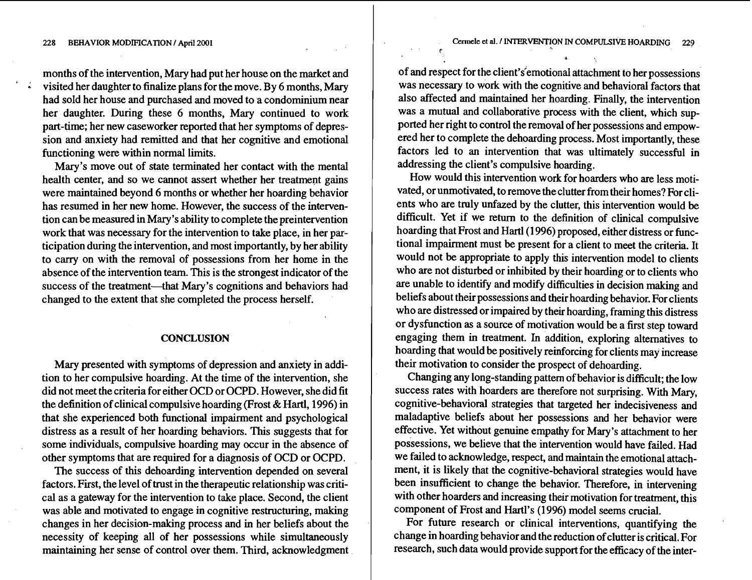months of the intervention, Mary had put her house on the market and **<sup>a</sup>**visited her daughter to finalize plans for the move. By **6** months, Mary had sold her house and purchased and moved to a condominium near her daughter. During these **6** months, Mary continued to work part-time; her new caseworker reported that her symptoms of depression and anxiety had remitted and that her cognitive and emotional functioning were within normal limits.

Mary's move out of state terminated her contact with the mental health center, and so we cannot assert whether her treatment gains were maintained beyond **6** months or whether her hoarding behavior has resumed in her new home. However, the success of the intervention can be measured in Mary's ability to complete the preintervention work that was necessary for the intervention to take place, in her participation during the intervention, and most importantly, by her ability to carry on with the removal of possessions from her home in the absence of the intervention team. This is the strongest indicator of the success of the treatment-that Mary's cognitions and behaviors hadchanged to the extent that she completed the process herself.

# **CONCLUSION**

Mary presented with symptoms of depression and anxiety in addition to her compulsive hoarding. At the time of the intervention, she did not meet the criteria for either OCD or OCPD. However, she did fit the definition of clinical compulsive hoarding (Frost & Hartl, **1996)** in that she experienced both functional impairment and psychological distress as a result of her hoarding behaviors. This suggests that for some individuals, compulsive hoarding may occur in the absence of other symptoms that are required for a diagnosis of OCD or OCPD.

The success of this dehoarding intervention depended on several factors. First, the level of trust in the therapeutic relationship was critical as a gateway for the intervention to take place. Second, the client was able and motivated to engage in cognitive restructuring, making changes in her decision-making process and in her beliefs about the necessity of keeping all of her possessions while simultaneously maintaining her sense of control over them. Third, acknowledgment of and respect for the client's'emotional attachment to her possessions was necessary to work with the cognitive and behavioral factors that also affected and maintained her hoarding. Finally, the intervention was a mutual and collaborative process with the client, which supported her right to control the removal of her possessions and empowered her to complete the dehoarding process. Most importantly, these factors led to an intervention that was ultimately successful in addressing the client's compulsive hoarding.

How would this intervention work for hoarders who are less motivated, or unmotivated, to remove the clutter from their homes? For clients who are truly unfazed by the clutter, this intervention would be difficult. Yet if we return to the definition of clinical compulsive hoarding that Frost and Hartl **(1 996)** proposed, either distress or functional impairment must be present for a client to meet the criteria. It would not be appropriate to apply this intervention model to clients who are not disturbed or inhibited by their hoarding or to clients who are unable to identify and modify difficulties in decision making and beliefs about their possessions and their hoarding behavior. For clients who are distressed or impaired by their hoarding, framing this distress or dysfunction as a source of motivation would be a first step toward engaging them in treatment. In addition, exploring alternatives to hoarding that would be positively reinforcing for clients may increase their motivation to consider the prospect of dehoarding.

Changing any long-standing pattern of behavior is difficult; the low success rates with hoarders are therefore not surprising. With Mary, cognitive-behavioral strategies that targeted her indecisiveness and maladaptive beliefs about her possessions and her behavior were effective. Yet without genuine empathy for Mary's attachment to her possessions, we believe that the intervention would have failed. Had we failed to acknowledge, respect, and maintain the emotional attachment, it is likely that the cognitive-behavioral strategies would have been insufficient to change the behavior. Therefore, in intervening with other hoarders and increasing their motivation for treatment, this component of Frost and Hartl's (1 **996)** model seems crucial.

For future research or clinical interventions, quantifying the change in hoarding behavior and the reduction of clutter is critical. For research, such data would provide support for the efficacy of the inter-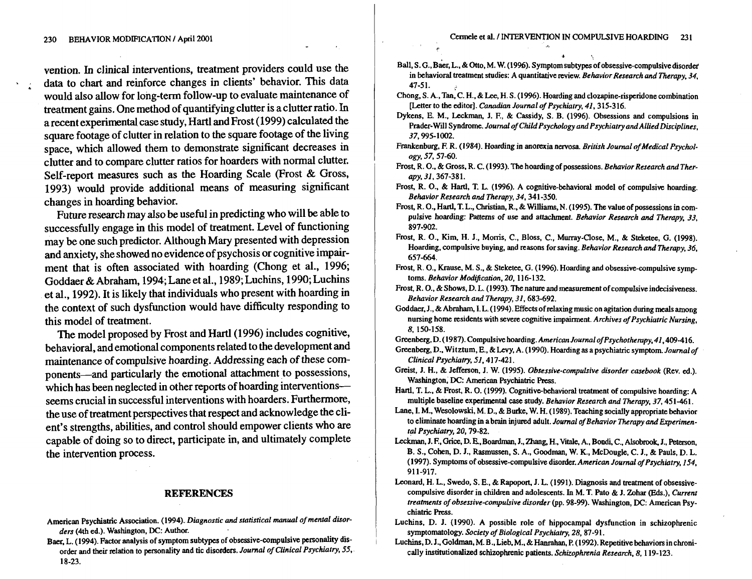\*

vention. In clinical interventions, treatment providers could use the data to chart and reinforce changes in clients' behavior. This data would also allow for long-term follow-up to evaluate maintenance of treatment gains. One method of quantifying clutter is a clutter ratio. **In**  a recent experimental case study, Hartl and Frost (1999) calculated the square footage of clutter in relation to the square footage of the living space, which allowed them to demonstrate significant decreases in clutter and to compare clutter ratios for hoarders with normal clutter. Self-report measures such as the Hoarding Scale (Frost & Gross, 1993) would provide additional means of measuring significant changes in hoarding behavior.

Future research may also be useful in predicting who will be able to successfully engage in this model of treatment. Level of functioning may be one such predictor. Although Mary presented with depression and anxiety, she showed no evidence of psychosis or cognitive impairment that is often associated with hoarding (Chong et al., 1996; Goddaer &Abraham, 1994; Lane et al., 1989; Luchins, 1990; Luchins et al., 1992). It is likely that individuals who present with hoarding in the context of such dysfunction would have difficulty responding to this model of treatment.

The model proposed by Frost and Hartl (1996) includes cognitive, behavioral, and emotional components related to the development and maintenance of compulsive hoarding. Addressing each of these components-and particularly the emotional attachment to possessions, which has been neglected in other reports of hoarding interventionsseems crucial in successful interventions with hoarders. Furthermore, the use of treatment perspectives that respect and acknowledge the client's strengths, abilities, and control should empower clients who are capable of doing so to direct, participate in, and ultimately complete the intervention process.

## **REFERENCES**

- American Psychiatric Association. **(1994)..Diagnostic** *and statistical manual of mental disorders* (4th ed.). Washington, **DC:** Author.
- Baer. L. (1994). Factor analysis of symptom subtypes of obsessive-compulsive personality disorder and their relation to personality and tic disorders. *Journal of Clinical Psychiatry,* 55.. 18-23.
- Ball, S. G., Baer, L., & Otto, M. W. (1996). Symptom subtypes of obsessive-compulsive disorder in behavioral treatment studies: A quantitative review. *Behavior Research and Therapy.* 34. 47-5 1.
- Chong, S. A., Tan, C. H., & Lee, H. S. (1996). Hoarding and clozapine-risperidone combination [Letter to the editor]. *Canadinn Journal of Psychiatry.* 41.315-316.
- Dykens. E. M.. **Leckman.** J. **E,** & Cassidy, S. B. (1996). Obsessions and compulsions in Prader-Will Syndrome. *Journal of Child Psychology and Psychiatry and Allied Disciplines,*  37.995-1002.
- Frankenburg. **E** R. (1984). Hoarding in anorexia nervosa. *British Journal of Medical Psychology,* 57.57-60.
- Frost, R. 0.. & Gross. R. C. (1993). The hoarding of possessions. *Behavior Research and Ther***apy,** 31.367-38 1.
- Frost, R. 0.. & Hartl, **T.** L. (1996). A cognitive-behavioral model of compulsive hoarding. *Behavior Research and Therapy,* 34.341-350.
- Frost, R. O., Hartl, T. L., Christian, R., & Williams, N. (1995). The value of possessions in compulsive hoarding: Patterns of use and attachment. *Behavior Research* and *Thempy,* **33,**  897-902.
- Frost, R. **0..** Kim. **H.** J.. Monis, C.. Bloss. C., Murray-Close, M.. & Steketee, G. (1998). Hoarding, compulsive buying, and reasons for saving. *Behavior Research* and *Therapy.* 36. 657-664.
- Frost, R. **0..** Krause, M. S.. & Steketee. G. (1996). Hoarding and obsessive-compulsive symptoms. *Behavior Modification*, 20, 116-132.
- Frost, R. O., & Shows, D. L. (1993). The nature and measurement of compulsive indecisiveness. *Behavior Research and Therapy,* 31,683-692.
- Goddaer, J., & Abraham, I. L. (1994). Effects of relaxing music on agitation during meals among nursing home residents with severe cognitive impairment. *Archives of Psychiatric Nursing,*  8, 150-158.

Greenberg. D. (1987). Compulsive hoarding. *American Journal ojpsychothempy.* 41.409-416.

- Greenberg, D.. Witztum, E., &Levy. A. (1990). Hoarding as a psychiatric symptom. *Journal of Clinical Psychiatry,* 51.4 17-421.
- Greist, J. H., & Jefferson. J. W. (1995). *Obsessive-compulsive disorder casebook* (Rev. **ed.).**  Washington. **DC:** American Psychiatric Press.
- Hartl, T. L., & Frost, R. O. (1999). Cognitive-behavioral treatment of compulsive hoarding: A multiple baseline experimental *case* study. *Behavior Research and Therapy,* 37,451-461.
- Lane, I. M., Wesolowski, M. D., & Burke, W. H. (1989). Teaching socially appropriate behavior to eliminate hoarding in a brain injured adult. *Journal of Behavior Therapy and Experimental Psychiatry,* 20,79-82.
- Leckman, J. F., Grice, D. E., Boardman, J., Zhang, H., Vitale, A., Bondi, C., Alsobrook, J., Peterson, B. S.. Cohen, D. J., Rasmussen. S. A.. Goodman, W. **K.,** McDougle. C. J.. & Pauls, D. L. (1997). Symptoms of obsessive-compulsive disorder. *American Journal of Psychiatry,* 154, 91 1-917.
- Leonard, H. L., Swedo, S. E., & Rapoport, J. L. (1991). Diagnosis and treatment of obsessivecompulsive disorder in children and adolescents. In M. T. Pato & J. Zohar (Eds.). *Current treatments of obsessive-compulsive disorder* @p. 98-99). Washington, **DC:** American Psychiatric Press.
- Luchins. D. J. (1990). A possible role of hippocampal dysfunction in schizophrenic symptomatology. *Society of Biological Psychiatry,* 28,87-91.
- Luchins. D. J.. Goldman, M. B., Lieb. M., & **Hanrahan,** P. (1992). Repetitive behaviors in chronically institutionalized schizophrenic patients. *Schuophrenia Research,* 8.1 19-123.